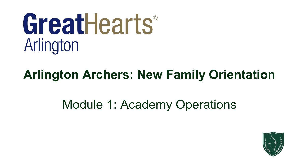# GreatHearts® Arlington

## **Arlington Archers: New Family Orientation**

# Module 1: Academy Operations

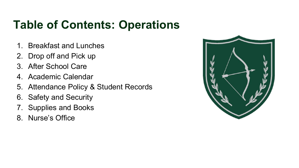### **Table of Contents: Operations**

- 1. Breakfast and Lunches
- 2. Drop off and Pick up
- 3. After School Care
- 4. Academic Calendar
- 5. Attendance Policy & Student Records
- 6. Safety and Security
- 7. Supplies and Books
- 8. Nurse's Office

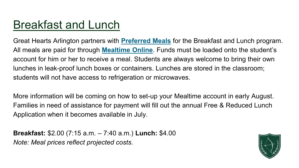### [Breakfast and Lunch](https://liveoak.greatheartsamerica.org/academy-life/breakfast-lunch-programs/)

Great Hearts Arlington partners with **[Preferred Meals](http://www.preferredmealsmenu.com/Site/Menu.aspx?DistrictSchool=TX_A6238_A1003&SchoolName=GREAT+HEARTS+NORTHERN+OAKS+)** for the Breakfast and Lunch program. All meals are paid for through **[Mealtime Online](http://www.mymealtime.com/)**. Funds must be loaded onto the student's account for him or her to receive a meal. Students are always welcome to bring their own lunches in leak-proof lunch boxes or containers. Lunches are stored in the classroom; students will not have access to refrigeration or microwaves.

More information will be coming on how to set-up your Mealtime account in early August. Families in need of assistance for payment will fill out the annual Free & Reduced Lunch Application when it becomes available in July.

**Breakfast:** \$2.00 (7:15 a.m. – 7:40 a.m.) **Lunch:** \$4.00 *Note: Meal prices reflect projected costs.*

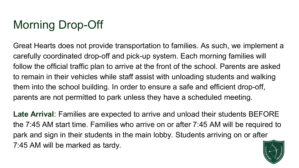## Morning Drop-Off

Great Hearts does not provide transportation to families. As such, we implement a carefully coordinated drop-off and pick-up system. Each morning families will follow the official traffic plan to arrive at the front of the school. Parents are asked to remain in their vehicles while staff assist with unloading students and walking them into the school building. In order to ensure a safe and efficient drop-off, parents are not permitted to park unless they have a scheduled meeting.

**Late Arrival**: Families are expected to arrive and unload their students BEFORE the 7:45 AM start time. Families who arrive on or after 7:45 AM will be required to park and sign in their students in the main lobby. Students arriving on or after 7:45 AM will be marked as tardy.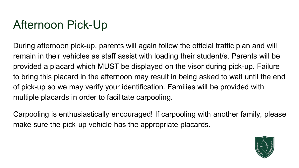### Afternoon Pick-Up

During afternoon pick-up, parents will again follow the official traffic plan and will remain in their vehicles as staff assist with loading their student/s. Parents will be provided a placard which MUST be displayed on the visor during pick-up. Failure to bring this placard in the afternoon may result in being asked to wait until the end of pick-up so we may verify your identification. Families will be provided with multiple placards in order to facilitate carpooling.

Carpooling is enthusiastically encouraged! If carpooling with another family, please make sure the pick-up vehicle has the appropriate placards.

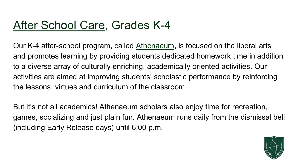### [After School Care,](https://liveoak.greatheartsamerica.org/academy-life/after-school-programs/) Grades K-4

Our K-4 after-school program, called [Athenaeum,](https://arlington.greatheartsamerica.org/academy-life/after-school-programs/) is focused on the liberal arts and promotes learning by providing students dedicated homework time in addition to a diverse array of culturally enriching, academically oriented activities. Our activities are aimed at improving students' scholastic performance by reinforcing the lessons, virtues and curriculum of the classroom.

But it's not all academics! Athenaeum scholars also enjoy time for recreation, games, socializing and just plain fun. Athenaeum runs daily from the dismissal bell (including Early Release days) until 6:00 p.m.

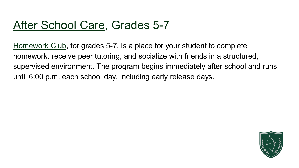### [After School Care,](https://liveoak.greatheartsamerica.org/academy-life/after-school-programs/) Grades 5-7

[Homework Club,](https://arlington.greatheartsamerica.org/academy-life/after-school-programs/) for grades 5-7, is a place for your student to complete homework, receive peer tutoring, and socialize with friends in a structured, supervised environment. The program begins immediately after school and runs until 6:00 p.m. each school day, including early release days.

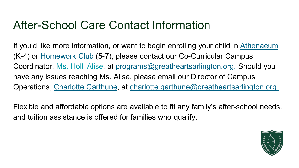### After-School Care Contact Information

If you'd like more information, or want to begin enrolling your child in [Athenaeum](https://arlington.greatheartsamerica.org/academy-life/after-school-programs/) (K-4) or [Homework Club](https://arlington.greatheartsamerica.org/academy-life/after-school-programs/) (5-7), please contact our Co-Curricular Campus Coordinator, [Ms. Holli Alise,](mailto:programs@greatheartsarlington.org) at [programs@greatheartsarlington.org](mailto:programs@greatheartsarlington.org). Should you have any issues reaching Ms. Alise, please email our Director of Campus Operations, [Charlotte Garthune,](mailto:charlotte.garthune@greatheartsarlington.org) at [charlotte.garthune@greatheartsarlington.org.](mailto:charlotte.garthune@greatheartsarlington.org)

Flexible and affordable options are available to fit any family's after-school needs, and tuition assistance is offered for families who qualify.

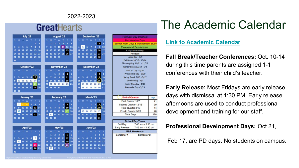#### 2022-2023

### **Great**Hearts

|                |                         |    | <b>July '22</b> |             |    |                |    |    |                | <b>August '22</b> |                         |    |    |    |    | <b>September '22</b> |                 |                |                |    |
|----------------|-------------------------|----|-----------------|-------------|----|----------------|----|----|----------------|-------------------|-------------------------|----|----|----|----|----------------------|-----------------|----------------|----------------|----|
| s              | M                       | п. | W               | т           | F  | s              | s  | м  | т              | Ŵ                 | т                       | к  | s  | s  | M  |                      | w               |                | ۴              | s  |
|                |                         |    |                 |             | 1  | $\overline{z}$ |    | 1  | $\overline{z}$ | 3                 | 4                       | 5  | 6  |    |    |                      |                 | 1              | 2              | 3  |
| 3              | 4                       | s  | 6               | 7           | 8  | 9              | 7  | 8  | 9              | 10                | 11                      | 12 | 13 | 4  | 5  | 6                    | 7               | 8              | 9              | 10 |
| 10             | 11                      | 12 | 13              | 14          | 15 | 16             | 14 | 15 | 16             | 17                | 18                      | 19 | 20 | 11 | 12 | 13                   | 14              | 15             | 16             | 17 |
| 17             | 18                      | 19 | 20              | 21          | 22 | 23             | 21 | 22 | 23             | 24                | 25                      | 26 | 27 | 18 | 19 | 20                   | 21              | 22             | 23             | 24 |
| 24             | 25                      | 26 | 27              | 28          | 29 | 30             | 28 | 29 | 30             | 31                |                         |    |    | 25 | 26 | 27                   | 28              | 29             | 30             |    |
| 31             |                         |    |                 |             |    |                |    |    |                |                   |                         |    |    |    |    |                      |                 |                |                |    |
|                |                         |    |                 | October '22 |    |                |    |    |                | November '22      |                         |    |    |    |    | December '22         |                 |                |                |    |
| s              | M                       |    | W               |             | я  | ś              | s  | M  |                | w                 | т                       | s  | s  | Ś  | M  |                      | w               |                | я              | s  |
|                |                         |    |                 |             |    | 1              |    |    | 1              | $\overline{a}$    | $\overline{\mathbf{3}}$ | 4  | 5  |    |    |                      |                 | 1              | 2              | 3  |
| 2              | $\overline{\mathbf{a}}$ | 4  | 5               | 6           | 7  | 8              | 6  | 7  | R              | ٩                 | 10                      | 11 | 12 | 4  | 5  | 6                    | 7               | R              | 9              | 10 |
| ۹              | 10                      | 11 | 12              | 13          | 14 | 15             | 13 | 14 | 15             | 16                | 17                      | 18 | 19 | 11 | 12 | 13                   | 14              | 15             | 16             | 17 |
| 16             | 17                      | 18 | 19              | 20          |    | 22             | 20 | 21 | 22             | 23                | 24                      | 25 | 26 | 18 | 19 | 20                   | 21              | 22             | 23             | 24 |
| 23             | 24                      |    | 25 26           | 27          | 28 | 29             | 27 | 28 | 29             | 30                |                         |    |    | 25 | 26 | 27                   | 28              | 29             | 30             | 31 |
| 30             | 31                      |    |                 |             |    |                |    |    |                |                   |                         |    |    |    |    |                      |                 |                |                |    |
|                |                         |    |                 |             |    |                |    |    |                |                   |                         |    |    |    |    |                      |                 |                |                |    |
|                |                         |    |                 | January '23 |    |                |    |    |                | February '23      |                         |    |    |    |    |                      | March '23       |                |                |    |
| s              | M                       | т  | W               | т           | г  | s              | s  | M  | т              | W                 | ۳                       | F  | s  | s  | M  | т                    | w               | т              | я              | s  |
| 1              | $\overline{a}$          | з  | $\Delta$        | 5           | 6  | 7              |    |    |                | 1                 | $\overline{2}$          | 3  | 4  |    |    |                      | 1               | $\overline{z}$ | а              | 4  |
| 8              | 9                       | 10 | 11              | 12          | 13 | 14             | 5  | 6  | 7              | 8                 | 9                       | 10 | 11 | 5  | 6  | 7                    | 8               | ٩              | 10             | 11 |
| 15             | 16                      | 17 | 18              | 19          | 20 | 21             | 12 | 13 | 14             | 15                | 16                      |    | 18 | 12 | 13 | 14                   | 15              | 16             | 17             | 18 |
| 22             | 23                      | 24 | 25              | 26          | 27 | 28             | 19 | 20 | 21             | 22                | 23                      | 24 | 25 | 19 | 20 | 21                   | 22              | 23             | 24             | 25 |
| 29             | 30                      | 31 |                 |             |    |                | 26 | 27 | 28             |                   |                         |    |    | 26 | 27 | 28                   | 29              | 30             | 31             |    |
|                |                         |    |                 |             |    |                |    |    |                |                   |                         |    |    |    |    |                      |                 |                |                |    |
|                |                         |    | April '23       |             |    |                |    |    |                | <b>May '23</b>    |                         |    |    |    |    |                      | <b>June '23</b> |                |                |    |
| s              | M                       | т  | w               | т           | F  | s              | s  | M  | т              | w                 | т                       | ۴  | s  | s  | M  | т                    | w               | т              | ۶              | s  |
|                |                         |    |                 |             |    | 1              |    | 1  | $\overline{a}$ | з                 | 4                       | 5  | 6  |    |    |                      |                 | 1              | $\overline{z}$ | 3  |
| $\overline{a}$ | 3                       | 4  | 5               | 6           | 7  | 8              | 7  | R  | 9              | 10                | 11                      | 12 | 13 | 4  | 5  | 6                    | 7               | 8              | 9              | 10 |
| 9              | 10                      | 11 | 12              | 13          | 14 | 15             | 14 | 15 | 16             | 17                | 18                      | 19 | 20 | 11 | 12 | 13                   | 14              | 15             | 16             | 17 |
| 16             | 17                      | 18 | 19              | 20          | 21 | 22             | 21 | 22 | 23             | 24                | 25 <sub>1</sub>         | 26 | 27 | 18 | 19 | 20                   | 21              | 22             | 23             | 24 |
| 23<br>30       | 24                      | 25 | 26              | 27          | 28 | 29             | 28 | 29 | 30             | 31                |                         |    |    | 25 | 26 | 27                   | 28              | 29             | 30             |    |

| First/Last Day of School                         |                      |
|--------------------------------------------------|----------------------|
| d Weather Da                                     |                      |
| <b>Teacher Work Days &amp; Independent Study</b> |                      |
| <b>Professional Development</b>                  |                      |
| <b>Early Release Days</b>                        |                      |
| Holidays                                         |                      |
| Labor Day - 9/5                                  |                      |
| Fall Break 10/10 - 10/14                         |                      |
| Thanksgiving 11/21 - 11/25                       |                      |
| Winter Break 12/19 - 1/2                         |                      |
| MLK Jr. Day - 1/16                               |                      |
| President's Day - 2/20                           |                      |
| <b>Spring Break 3/13 - 3/17</b>                  |                      |
| Good Friday - 4/7                                |                      |
| Easter Monday - 4/10                             |                      |
| Memorial Day - 5/29                              |                      |
|                                                  |                      |
|                                                  |                      |
| <b>End of Quarter</b>                            |                      |
|                                                  | Days                 |
| First Quarter 10/7                               |                      |
| Second Quarter 12/16                             |                      |
| Third Quarter 3/10                               |                      |
| Fourth Quarter 5/26                              |                      |
| <b>Total Days</b>                                | 170                  |
|                                                  |                      |
| <b>School Day Times</b>                          |                      |
| <b>Full Day</b><br>$7:45$ am $-3:30$ pm          |                      |
| <b>Early Release</b><br>$7:45$ am $-1:30$ pm     |                      |
| <b>R&amp;R Weekends</b>                          |                      |
| Semester 1<br>Semester <sub>2</sub>              | 41<br>39<br>44<br>46 |
|                                                  |                      |
|                                                  |                      |
|                                                  |                      |
|                                                  |                      |
|                                                  |                      |

### The Academic Calendar

#### **[Link to Academic Calendar](https://arlington.greatheartsamerica.org/wp-content/uploads/sites/42/2022/02/22_23-ARL-Academic-Calendar.pdf)**

**Fall Break/Teacher Conferences:** Oct. 10-14 during this time parents are assigned 1-1 conferences with their child's teacher.

**Early Release:** Most Fridays are early release days with dismissal at 1:30 PM. Early release afternoons are used to conduct professional development and training for our staff.

#### **Professional Development Days:** Oct 21,

Feb 17, are PD days. No students on campus.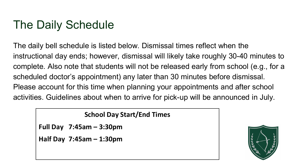### The Daily Schedule

The daily bell schedule is listed below. Dismissal times reflect when the instructional day ends; however, dismissal will likely take roughly 30-40 minutes to complete. Also note that students will not be released early from school (e.g., for a scheduled doctor's appointment) any later than 30 minutes before dismissal. Please account for this time when planning your appointments and after school activities. Guidelines about when to arrive for pick-up will be announced in July.

### **School Day Start/End Times**

**Full Day 7:45am – 3:30pm**

**Half Day 7:45am – 1:30pm**

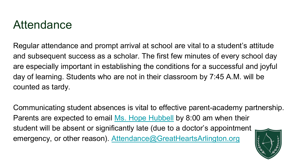### Attendance

Regular attendance and prompt arrival at school are vital to a student's attitude and subsequent success as a scholar. The first few minutes of every school day are especially important in establishing the conditions for a successful and joyful day of learning. Students who are not in their classroom by 7:45 A.M. will be counted as tardy.

Communicating student absences is vital to effective parent-academy partnership. Parents are expected to email [Ms. Hope Hubbell](mailto:registrar@greatheartsarlington.org) by 8:00 am when their student will be absent or significantly late (due to a doctor's appointment emergency, or other reason). [Attendance@GreatHeartsArlington.org](mailto:Attendance@GreatHeartsArlington.org)

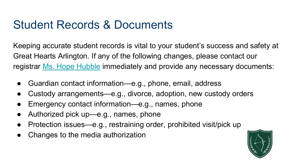### Student Records & Documents

Keeping accurate student records is vital to your student's success and safety at Great Hearts Arlington. If any of the following changes, please contact our registrar [Ms. Hope Hubble](mailto:registrar@greatheartsarlington.org) immediately and provide any necessary documents:

- Guardian contact information—e.g., phone, email, address
- Custody arrangements—e.g., divorce, adoption, new custody orders
- Emergency contact information—e.g., names, phone
- Authorized pick up—e.g., names, phone
- Protection issues—e.g., restraining order, prohibited visit/pick up
- Changes to the media authorization

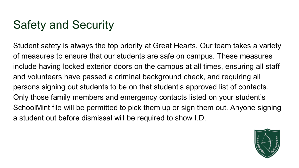### Safety and Security

Student safety is always the top priority at Great Hearts. Our team takes a variety of measures to ensure that our students are safe on campus. These measures include having locked exterior doors on the campus at all times, ensuring all staff and volunteers have passed a criminal background check, and requiring all persons signing out students to be on that student's approved list of contacts. Only those family members and emergency contacts listed on your student's SchoolMint file will be permitted to pick them up or sign them out. Anyone signing a student out before dismissal will be required to show I.D.

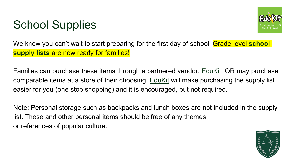### School Supplies



[We know you can't wait to start preparing for the first day of school. Grade level](https://arlington.greatheartsamerica.org/academy-life/books-supply-lists/) **school supply lists** are now ready for families!

Families can purchase these items through a partnered vendor, [EduKit,](https://www.edukitinc.com/find-your-school) OR may purchase comparable items at a store of their choosing. [EduKit](https://www.edukitinc.com/find-your-school) will make purchasing the supply list easier for you (one stop shopping) and it is encouraged, but not required.

Note: Personal storage such as backpacks and lunch boxes are not included in the supply list. These and other personal items should be free of any themes or references of popular culture.

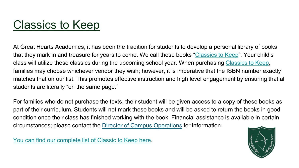### [Classics to Keep](https://arlington.greatheartsamerica.org/wp-content/uploads/sites/42/2021/01/GHALS_ClassicsToKeep.pdf)

At Great Hearts Academies, it has been the tradition for students to develop a personal library of books that they mark in and treasure for years to come. We call these books "[Classics to Keep](https://arlington.greatheartsamerica.org/wp-content/uploads/sites/42/2022/04/22_23-Lower-School-Classics-to-Keep.pdf)". Your child's class will utilize these classics during the upcoming school year. When purchasing [Classics to Keep,](https://arlington.greatheartsamerica.org/wp-content/uploads/sites/42/2022/04/22_23-Lower-School-Classics-to-Keep.pdf) families may choose whichever vendor they wish; however, it is imperative that the ISBN number exactly matches that on our list. This promotes effective instruction and high level engagement by ensuring that all students are literally "on the same page."

For families who do not purchase the texts, their student will be given access to a copy of these books as part of their curriculum. Students will not mark these books and will be asked to return the books in good condition once their class has finished working with the book. Financial assistance is available in certain circumstances; please contact the [Director of Campus Operations](mailto:charlotte.garthune@greatheartsarlington.org) for information.

[You can find our complete list of Classic to Keep here](https://arlington.greatheartsamerica.org/wp-content/uploads/sites/42/2022/04/22_23-Lower-School-Classics-to-Keep.pdf).

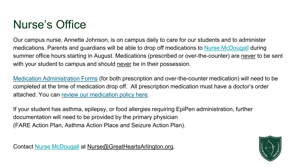### Nurse's Office

Our campus nurse, Annette Johnson, is on campus daily to care for our students and to administer medications. Parents and guardians will be able to drop off medications to [Nurse McDougall](mailto:nurse@greatheartsarlington.org) during summer office hours starting in August. Medications (prescribed or over-the-counter) are never to be sent with your student to campus and should never be in their possession.

[Medication Administration Forms](https://arlington.greatheartsamerica.org/ghals-request-to-administer-prescribed-medication/) (for both prescription and over-the-counter medication) will need to be completed at the time of medication drop off. All prescription medication must have a doctor's order attached. You can [review our medication policy here.](https://arlington.greatheartsamerica.org/wp-content/uploads/sites/42/2021/02/GHALS-Medication-Policy.pdf)

If your student has asthma, epilepsy, or food allergies requiring EpiPen administration, further documentation will need to be provided by the primary physician (FARE Action Plan, Asthma Action Place and Seizure Action Plan).

Contact [Nurse McDougall](mailto:nurse@greatheartsarlington.org) at [Nurse@GreatHeartsArlington.org](mailto:Nurse@GreatHeartsArlington.org).